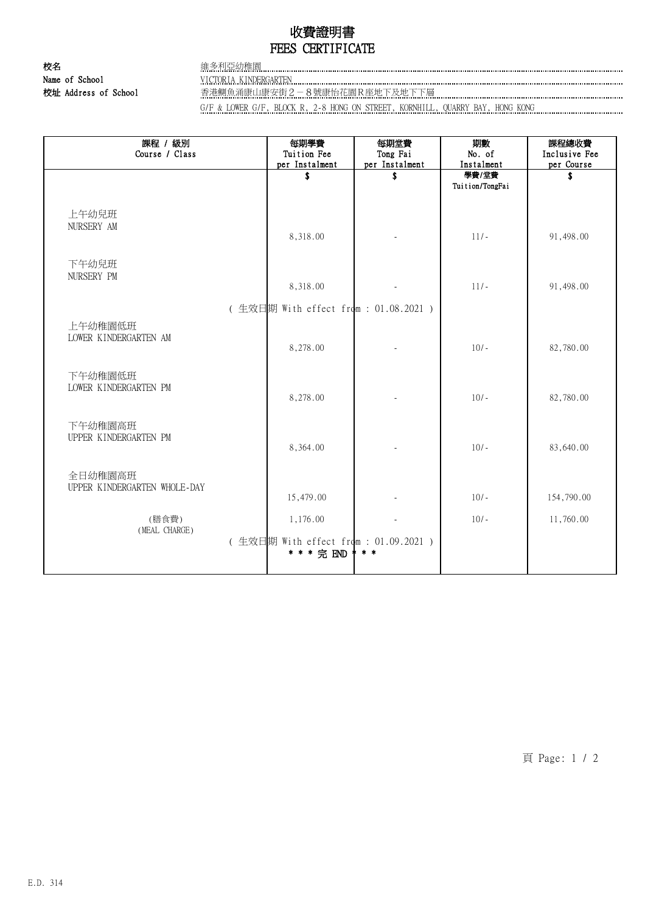## 收費證明書 FEES CERTIFICATE

校名 インフィッシュ さんじょう さんじょう さんじょう さんじょう さんじょう はんじょう はんじょう はんじょう はんじょう はんしゃ はんじょう はんしゃ はんしゃ はんしゃ はんしゃ Name of School VICTORIA KINDERGARTEN CONCORTEN CONTENTENT CONTENTS OF SCHOOL

校址 Address of School 香港鰂魚涌康山康安街2-8號康怡花園R座地下及地下下層

G/F & LOWER G/F, BLOCK R, 2-8 HONG ON STREET, KORNHILL, QUARRY BAY, HONG KONG

| 課程 / 級別<br>Course / Class               | 每期學費<br>Tuition Fee<br>per Instalment                | 每期堂費<br>Tong Fai<br>per Instalment | 期數<br>No. of<br>Instalment | 課程總收費<br>Inclusive Fee<br>per Course |
|-----------------------------------------|------------------------------------------------------|------------------------------------|----------------------------|--------------------------------------|
|                                         | \$                                                   | \$                                 | 學費/堂費<br>Tuition/TongFai   | \$                                   |
| 上午幼兒班<br>NURSERY AM                     | 8,318.00                                             |                                    | $11/-$                     | 91,498.00                            |
| 下午幼兒班<br>NURSERY PM                     | 8,318.00                                             |                                    | $11/-$                     | 91,498.00                            |
| (生效日期 With effect from : 01.08.2021 )   |                                                      |                                    |                            |                                      |
| 上午幼稚園低班<br>LOWER KINDERGARTEN AM        | 8,278.00                                             |                                    | $10/-$                     | 82,780.00                            |
| 下午幼稚園低班<br>LOWER KINDERGARTEN PM        | 8,278.00                                             |                                    | $10/-$                     | 82,780.00                            |
| 下午幼稚園高班<br>UPPER KINDERGARTEN PM        | 8,364.00                                             |                                    | $10/-$                     | 83,640.00                            |
| 全日幼稚園高班<br>UPPER KINDERGARTEN WHOLE-DAY | 15,479.00                                            |                                    | $10/-$                     | 154,790.00                           |
| (膳食費)                                   | 1,176.00                                             |                                    | $10/-$                     | 11,760.00                            |
| (MEAL CHARGE)                           | (生效日期 With effect from : 01.09.2021 )<br>* * * 完 END | $* *$                              |                            |                                      |

頁 Page: 1 / 2